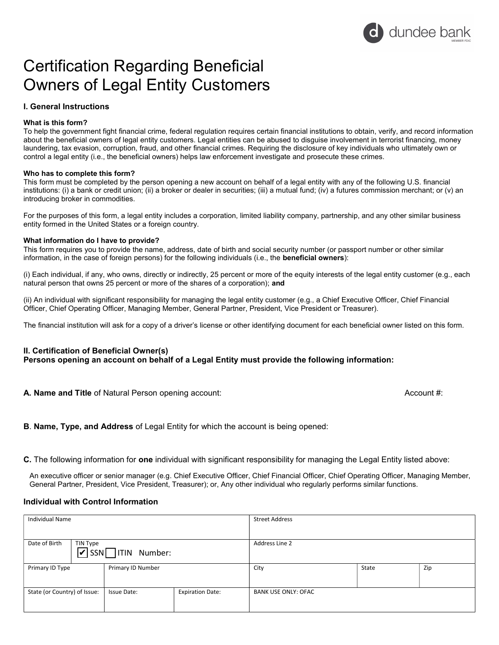# Certification Regarding Beneficial Owners of Legal Entity Customers

# I. General Instructions

### What is this form?

To help the government fight financial crime, federal regulation requires certain financial institutions to obtain, verify, and record information about the beneficial owners of legal entity customers. Legal entities can be abused to disguise involvement in terrorist financing, money laundering, tax evasion, corruption, fraud, and other financial crimes. Requiring the disclosure of key individuals who ultimately own or control a legal entity (i.e., the beneficial owners) helps law enforcement investigate and prosecute these crimes.

#### Who has to complete this form?

This form must be completed by the person opening a new account on behalf of a legal entity with any of the following U.S. financial institutions: (i) a bank or credit union; (ii) a broker or dealer in securities; (iii) a mutual fund; (iv) a futures commission merchant; or (v) an introducing broker in commodities.

For the purposes of this form, a legal entity includes a corporation, limited liability company, partnership, and any other similar business entity formed in the United States or a foreign country.

## What information do I have to provide?

This form requires you to provide the name, address, date of birth and social security number (or passport number or other similar information, in the case of foreign persons) for the following individuals (i.e., the beneficial owners):

(i) Each individual, if any, who owns, directly or indirectly, 25 percent or more of the equity interests of the legal entity customer (e.g., each natural person that owns 25 percent or more of the shares of a corporation); and

(ii) An individual with significant responsibility for managing the legal entity customer (e.g., a Chief Executive Officer, Chief Financial Officer, Chief Operating Officer, Managing Member, General Partner, President, Vice President or Treasurer).

The financial institution will ask for a copy of a driver's license or other identifying document for each beneficial owner listed on this form.

# II. Certification of Beneficial Owner(s)

Persons opening an account on behalf of a Legal Entity must provide the following information:

A. Name and Title of Natural Person opening account: Account #: Account #:

B. Name, Type, and Address of Legal Entity for which the account is being opened:

C. The following information for one individual with significant responsibility for managing the Legal Entity listed above:

An executive officer or senior manager (e.g. Chief Executive Officer, Chief Financial Officer, Chief Operating Officer, Managing Member, General Partner, President, Vice President, Treasurer); or, Any other individual who regularly performs similar functions.

# Individual with Control Information

| <b>Individual Name</b>                                           |                   |                         | <b>Street Address</b>      |       |     |
|------------------------------------------------------------------|-------------------|-------------------------|----------------------------|-------|-----|
| Date of Birth<br>TIN Type<br>$\triangledown$ SSN<br>ITIN Number: |                   |                         | Address Line 2             |       |     |
| Primary ID Type                                                  | Primary ID Number |                         | City                       | State | Zip |
| State (or Country) of Issue:                                     | Issue Date:       | <b>Expiration Date:</b> | <b>BANK USE ONLY: OFAC</b> |       |     |